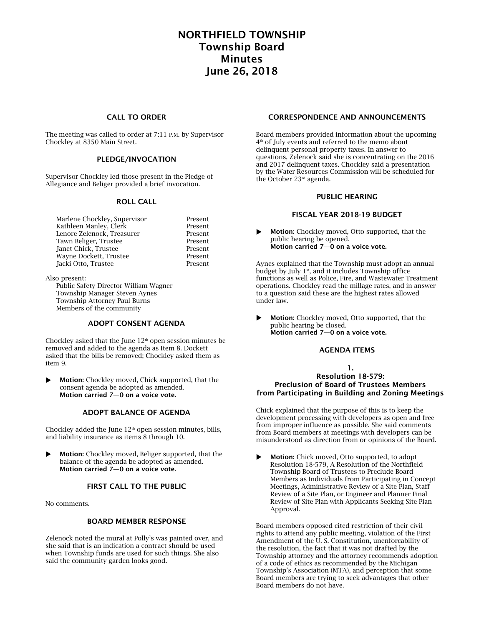# NORTHFIELD TOWNSHIP Township Board Minutes June 26, 2018

## CALL TO ORDER

The meeting was called to order at 7:11 P.M. by Supervisor Chockley at 8350 Main Street.

#### PLEDGE/INVOCATION

Supervisor Chockley led those present in the Pledge of Allegiance and Beliger provided a brief invocation.

#### ROLL CALL

| Present |
|---------|
| Present |
| Present |
| Present |
| Present |
| Present |
| Present |
|         |

Also present:

Public Safety Director William Wagner Township Manager Steven Aynes Township Attorney Paul Burns Members of the community

# ADOPT CONSENT AGENDA

Chockley asked that the June  $12<sup>th</sup>$  open session minutes be removed and added to the agenda as Item 8. Dockett asked that the bills be removed; Chockley asked them as item 9.

**Motion:** Chockley moved, Chick supported, that the consent agenda be adopted as amended. Motion carried 7—0 on a voice vote.

## ADOPT BALANCE OF AGENDA

Chockley added the June  $12<sup>th</sup>$  open session minutes, bills, and liability insurance as items 8 through 10.

**Motion:** Chockley moved, Beliger supported, that the balance of the agenda be adopted as amended. Motion carried 7—0 on a voice vote.

# FIRST CALL TO THE PUBLIC

No comments.

#### BOARD MEMBER RESPONSE

Zelenock noted the mural at Polly's was painted over, and she said that is an indication a contract should be used when Township funds are used for such things. She also said the community garden looks good.

## CORRESPONDENCE AND ANNOUNCEMENTS

Board members provided information about the upcoming 4 th of July events and referred to the memo about delinquent personal property taxes. In answer to questions, Zelenock said she is concentrating on the 2016 and 2017 delinquent taxes. Chockley said a presentation by the Water Resources Commission will be scheduled for the October 23<sup>rd</sup> agenda.

## PUBLIC HEARING

#### FISCAL YEAR 2018-19 BUDGET

 Motion: Chockley moved, Otto supported, that the public hearing be opened. Motion carried 7—0 on a voice vote.

Aynes explained that the Township must adopt an annual budget by July  $1<sup>st</sup>$ , and it includes Township office functions as well as Police, Fire, and Wastewater Treatment operations. Chockley read the millage rates, and in answer to a question said these are the highest rates allowed under law.

 Motion: Chockley moved, Otto supported, that the public hearing be closed. Motion carried 7—0 on a voice vote.

#### AGENDA ITEMS

#### 1. Resolution 18-579: Preclusion of Board of Trustees Members from Participating in Building and Zoning Meetings

Chick explained that the purpose of this is to keep the development processing with developers as open and free from improper influence as possible. She said comments from Board members at meetings with developers can be misunderstood as direction from or opinions of the Board.

Motion: Chick moved, Otto supported, to adopt Resolution 18-579, A Resolution of the Northfield Township Board of Trustees to Preclude Board Members as Individuals from Participating in Concept Meetings, Administrative Review of a Site Plan, Staff Review of a Site Plan, or Engineer and Planner Final Review of Site Plan with Applicants Seeking Site Plan Approval.

Board members opposed cited restriction of their civil rights to attend any public meeting, violation of the First Amendment of the U. S. Constitution, unenforcability of the resolution, the fact that it was not drafted by the Township attorney and the attorney recommends adoption of a code of ethics as recommended by the Michigan Township's Association (MTA), and perception that some Board members are trying to seek advantages that other Board members do not have.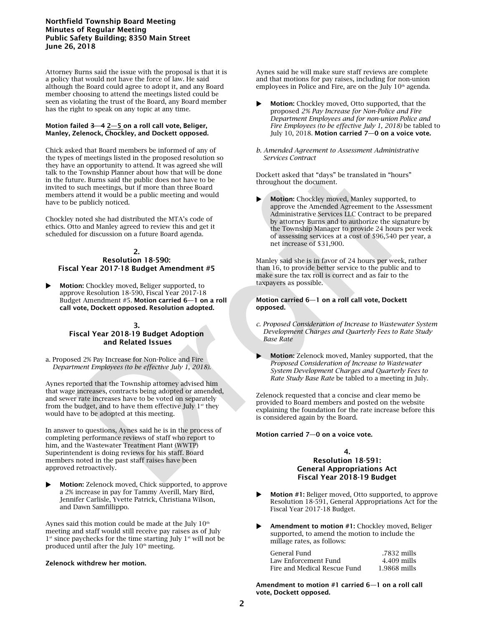## Northfield Township Board Meeting Minutes of Regular Meeting Public Safety Building; 8350 Main Street June 26, 2018

Attorney Burns said the issue with the proposal is that it is a policy that would not have the force of law. He said although the Board could agree to adopt it, and any Board member choosing to attend the meetings listed could be seen as violating the trust of the Board, any Board member has the right to speak on any topic at any time.

#### Motion failed  $3-4$   $2-5$  on a roll call vote, Beliger, Manley, Zelenock, Chockley, and Dockett opposed.

Chick asked that Board members be informed of any of the types of meetings listed in the proposed resolution so they have an opportunity to attend. It was agreed she will talk to the Township Planner about how that will be done in the future. Burns said the public does not have to be invited to such meetings, but if more than three Board members attend it would be a public meeting and would have to be publicly noticed.

Chockley noted she had distributed the MTA's code of ethics. Otto and Manley agreed to review this and get it scheduled for discussion on a future Board agenda.

#### 2. Resolution 18-590: Fiscal Year 2017-18 Budget Amendment #5

Motion: Chockley moved, Beliger supported, to approve Resolution 18-590, Fiscal Year 2017-18 Budget Amendment #5. Motion carried 6—1 on a roll call vote, Dockett opposed. Resolution adopted.

## 3. Fiscal Year 2018-19 Budget Adoption and Related Issues

a. Proposed 2% Pay Increase for Non-Police and Fire *Department Employees (to be effective July 1, 2018).*

Aynes reported that the Township attorney advised him that wage increases, contracts being adopted or amended, and sewer rate increases have to be voted on separately from the budget, and to have them effective July  $1<sup>st</sup>$  they would have to be adopted at this meeting.

In answer to questions, Aynes said he is in the process of completing performance reviews of staff who report to him, and the Wastewater Treatment Plant (WWTP) Superintendent is doing reviews for his staff. Board members noted in the past staff raises have been approved retroactively.

 Motion: Zelenock moved, Chick supported, to approve a 2% increase in pay for Tammy Averill, Mary Bird, Jennifer Carlisle, Yvette Patrick, Christiana Wilson, and Dawn Samfillippo.

Aynes said this motion could be made at the July  $10<sup>th</sup>$ meeting and staff would still receive pay raises as of July 1<sup>st</sup> since paychecks for the time starting July 1<sup>st</sup> will not be produced until after the July 10<sup>th</sup> meeting.

## Zelenock withdrew her motion.

Aynes said he will make sure staff reviews are complete and that motions for pay raises, including for non-union employees in Police and Fire, are on the July  $10<sup>th</sup>$  agenda.

- Motion: Chockley moved, Otto supported, that the proposed *2% Pay Increase for Non-Police and Fire Department Employees and for non-union Police and Fire Employees (to be effective July 1, 2018)* be tabled to July 10, 2018. Motion carried 7—0 on a voice vote.
- *b. Amended Agreement to Assessment Administrative Services Contract*

Dockett asked that "days" be translated in "hours" throughout the document.

 Motion: Chockley moved, Manley supported, to approve the Amended Agreement to the Assessment Administrative Services LLC Contract to be prepared by attorney Burns and to authorize the signature by the Township Manager to provide 24 hours per week of assessing services at a cost of \$96,540 per year, a net increase of \$31,900.

Manley said she is in favor of 24 hours per week, rather than 16, to provide better service to the public and to make sure the tax roll is correct and as fair to the taxpayers as possible.

#### Motion carried 6—1 on a roll call vote, Dockett opposed.

- *c. Proposed Consideration of Increase to Wastewater System Development Charges and Quarterly Fees to Rate Study Base Rate*
- Motion: Zelenock moved, Manley supported, that the *Proposed Consideration of Increase to Wastewater System Development Charges and Quarterly Fees to Rate Study Base Rate* be tabled to a meeting in July.

Zelenock requested that a concise and clear memo be provided to Board members and posted on the website explaining the foundation for the rate increase before this is considered again by the Board.

#### Motion carried 7—0 on a voice vote.

#### 4. Resolution 18-591: General Appropriations Act Fiscal Year 2018-19 Budget

- Motion #1: Beliger moved, Otto supported, to approve Resolution 18-591, General Appropriations Act for the Fiscal Year 2017-18 Budget.
- Amendment to motion #1: Chockley moved, Beliger supported, to amend the motion to include the millage rates, as follows:

| General Fund                 | .7832 mills  |
|------------------------------|--------------|
| Law Enforcement Fund         | 4.409 mills  |
| Fire and Medical Rescue Fund | 1.9868 mills |

Amendment to motion #1 carried 6—1 on a roll call vote, Dockett opposed.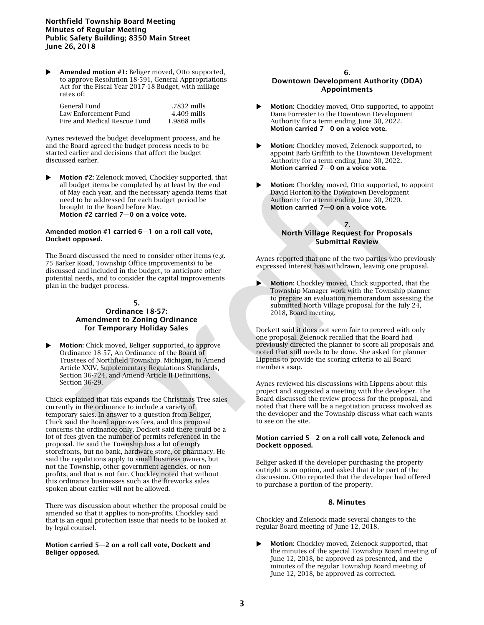## Northfield Township Board Meeting Minutes of Regular Meeting Public Safety Building; 8350 Main Street June 26, 2018

Amended motion #1: Beliger moved, Otto supported, to approve Resolution 18-591, General Appropriations Act for the Fiscal Year 2017-18 Budget, with millage rates of:

| General Fund-                | .7832 mills  |
|------------------------------|--------------|
| Law Enforcement Fund-        | 4.409 mills  |
| Fire and Medical Rescue Fund | 1.9868 mills |

Aynes reviewed the budget development process, and he and the Board agreed the budget process needs to be started earlier and decisions that affect the budget discussed earlier.

Motion #2: Zelenock moved, Chockley supported, that all budget items be completed by at least by the end of May each year, and the necessary agenda items that need to be addressed for each budget period be brought to the Board before May. Motion #2 carried 7—0 on a voice vote.

#### Amended motion #1 carried 6—1 on a roll call vote, Dockett opposed.

The Board discussed the need to consider other items (e.g. 75 Barker Road, Township Office improvements) to be discussed and included in the budget, to anticipate other potential needs, and to consider the capital improvements plan in the budget process.

## 5.

# Ordinance 18-57: Amendment to Zoning Ordinance for Temporary Holiday Sales

**Motion:** Chick moved, Beliger supported, to approve Ordinance 18-57, An Ordinance of the Board of Trustees of Northfield Township. Michigan, to Amend Article XXIV, Supplementary Regulations Standards, Section 36-724, and Amend Article II Definitions, Section 36-29.

Chick explained that this expands the Christmas Tree sales currently in the ordinance to include a variety of temporary sales. In answer to a question from Beliger, Chick said the Board approves fees, and this proposal concerns the ordinance only. Dockett said there could be a lot of fees given the number of permits referenced in the proposal. He said the Township has a lot of empty storefronts, but no bank, hardware store, or pharmacy. He said the regulations apply to small business owners, but not the Township, other government agencies, or nonprofits, and that is not fair. Chockley noted that without this ordinance businesses such as the fireworks sales spoken about earlier will not be allowed.

There was discussion about whether the proposal could be amended so that it applies to non-profits. Chockley said that is an equal protection issue that needs to be looked at by legal counsel.

#### Motion carried 5—2 on a roll call vote, Dockett and Beliger opposed.

#### 6.

# Downtown Development Authority (DDA) Appointments

- **Motion:** Chockley moved. Otto supported, to appoint Dana Forrester to the Downtown Development Authority for a term ending June 30, 2022. Motion carried 7—0 on a voice vote.
- Motion: Chockley moved, Zelenock supported, to appoint Barb Griffith to the Downtown Development Authority for a term ending June 30, 2022. Motion carried 7—0 on a voice vote.
- Motion: Chockley moved, Otto supported, to appoint David Horton to the Downtown Development Authority for a term ending June 30, 2020. Motion carried 7—0 on a voice vote.

## 7. North Village Request for Proposals Submittal Review

Aynes reported that one of the two parties who previously expressed interest has withdrawn, leaving one proposal.

 Motion: Chockley moved, Chick supported, that the Township Manager work with the Township planner to prepare an evaluation memorandum assessing the submitted North Village proposal for the July 24, 2018, Board meeting.

Dockett said it does not seem fair to proceed with only one proposal. Zelenock recalled that the Board had previously directed the planner to score all proposals and noted that still needs to be done. She asked for planner Lippens to provide the scoring criteria to all Board members asap.

Aynes reviewed his discussions with Lippens about this project and suggested a meeting with the developer. The Board discussed the review process for the proposal, and noted that there will be a negotiation process involved as the developer and the Township discuss what each wants to see on the site.

#### Motion carried 5—2 on a roll call vote, Zelenock and Dockett opposed.

Beliger asked if the developer purchasing the property outright is an option, and asked that it be part of the discussion. Otto reported that the developer had offered to purchase a portion of the property.

## 8. Minutes

Chockley and Zelenock made several changes to the regular Board meeting of June 12, 2018.

 Motion: Chockley moved, Zelenock supported, that the minutes of the special Township Board meeting of June 12, 2018, be approved as presented, and the minutes of the regular Township Board meeting of June 12, 2018, be approved as corrected.